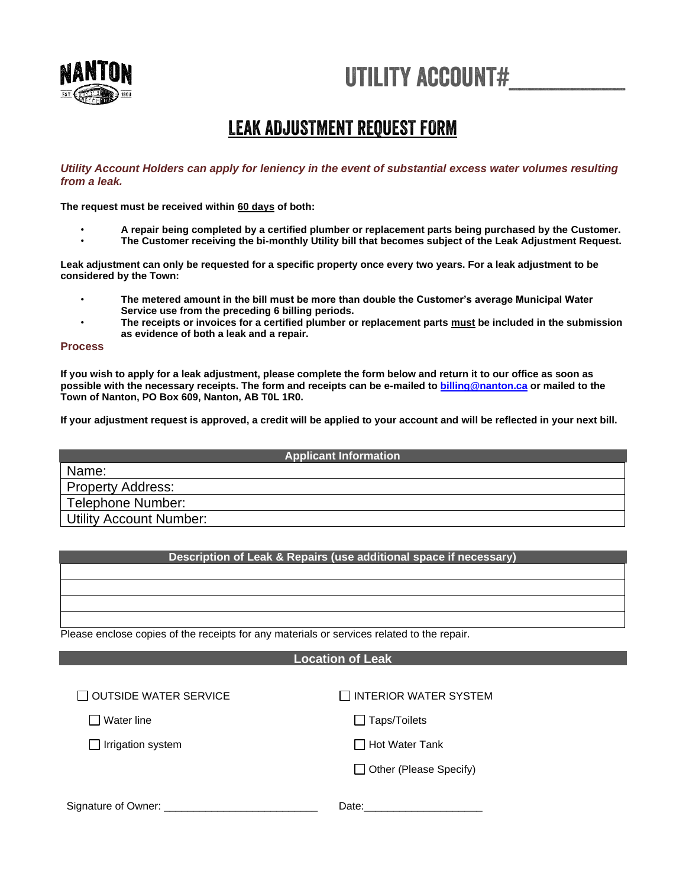# Utility account#\_\_\_\_\_\_\_\_\_\_\_



# LEAK ADJUSTMENT REQUEST FORM

#### *Utility Account Holders can apply for leniency in the event of substantial excess water volumes resulting from a leak.*

**The request must be received within 60 days of both:**

- **A repair being completed by a certified plumber or replacement parts being purchased by the Customer.**
- **The Customer receiving the bi-monthly Utility bill that becomes subject of the Leak Adjustment Request.**

**Leak adjustment can only be requested for a specific property once every two years. For a leak adjustment to be considered by the Town:**

- **The metered amount in the bill must be more than double the Customer's average Municipal Water Service use from the preceding 6 billing periods.**
- **The receipts or invoices for a certified plumber or replacement parts must be included in the submission as evidence of both a leak and a repair.**

#### **Process**

**If you wish to apply for a leak adjustment, please complete the form below and return it to our office as soon as possible with the necessary receipts. The form and receipts can be e-mailed to [billing@nanton.ca](mailto:billing@nanton.ca) or mailed to the Town of Nanton, PO Box 609, Nanton, AB T0L 1R0.**

**If your adjustment request is approved, a credit will be applied to your account and will be reflected in your next bill.**

#### **Applicant Information**

Name: Property Address: Telephone Number: Utility Account Number:

### **Description of Leak & Repairs (use additional space if necessary)**

Please enclose copies of the receipts for any materials or services related to the repair.

## **Location of Leak**

| $\Box$ OUTSIDE WATER SERVICE | $\Box$ INTERIOR WATER SYSTEM  |
|------------------------------|-------------------------------|
| ⊺Water line                  | $\Box$ Taps/Toilets           |
| $\Box$ Irrigation system     | $\Box$ Hot Water Tank         |
|                              | $\Box$ Other (Please Specify) |
| Signature of Owner:          | Date:                         |